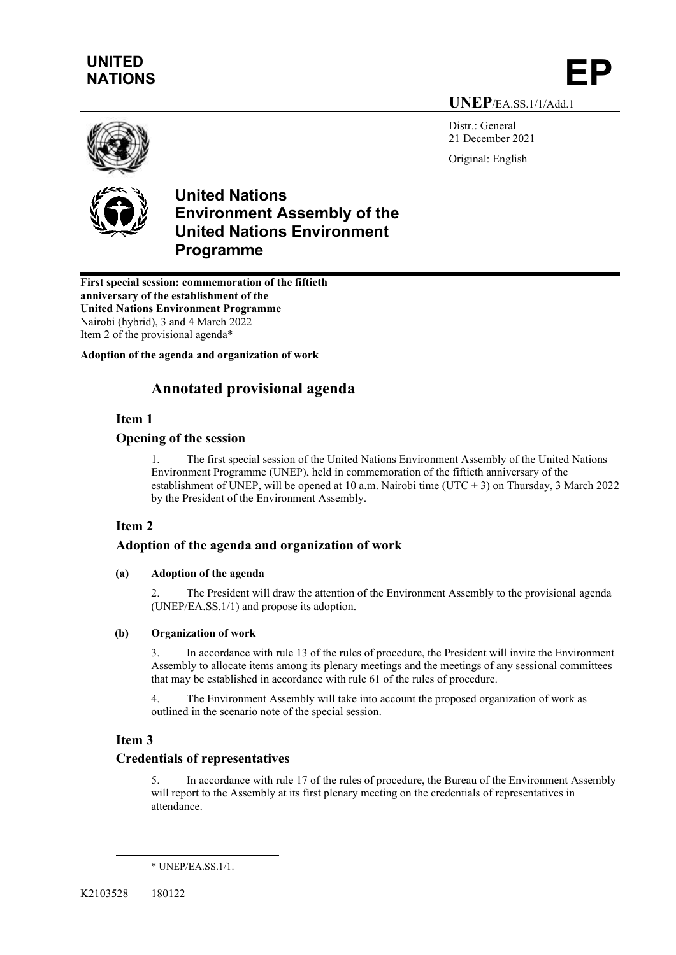# **UNITED**  UNITED<br>NATIONS **EP**

**UNEP**/EA.SS.1/1/Add.1

Distr.: General 21 December 2021 Original: English





**First special session: commemoration of the fiftieth anniversary of the establishment of the United Nations Environment Programme** Nairobi (hybrid), 3 and 4 March 2022 Item 2 of the provisional agenda\*

**Adoption of the agenda and organization of work**

## **Annotated provisional agenda**

## **Item 1**

#### **Opening of the session**

1. The first special session of the United Nations Environment Assembly of the United Nations Environment Programme (UNEP), held in commemoration of the fiftieth anniversary of the establishment of UNEP, will be opened at 10 a.m. Nairobi time (UTC + 3) on Thursday, 3 March 2022 by the President of the Environment Assembly.

## **Item 2**

## **Adoption of the agenda and organization of work**

#### **(a) Adoption of the agenda**

2. The President will draw the attention of the Environment Assembly to the provisional agenda (UNEP/EA.SS.1/1) and propose its adoption.

#### **(b) Organization of work**

3. In accordance with rule 13 of the rules of procedure, the President will invite the Environment Assembly to allocate items among its plenary meetings and the meetings of any sessional committees that may be established in accordance with rule 61 of the rules of procedure.

4. The Environment Assembly will take into account the proposed organization of work as outlined in the scenario note of the special session.

#### **Item 3**

#### **Credentials of representatives**

5. In accordance with rule 17 of the rules of procedure, the Bureau of the Environment Assembly will report to the Assembly at its first plenary meeting on the credentials of representatives in attendance.

<sup>\*</sup> UNEP/EA.SS.1/1.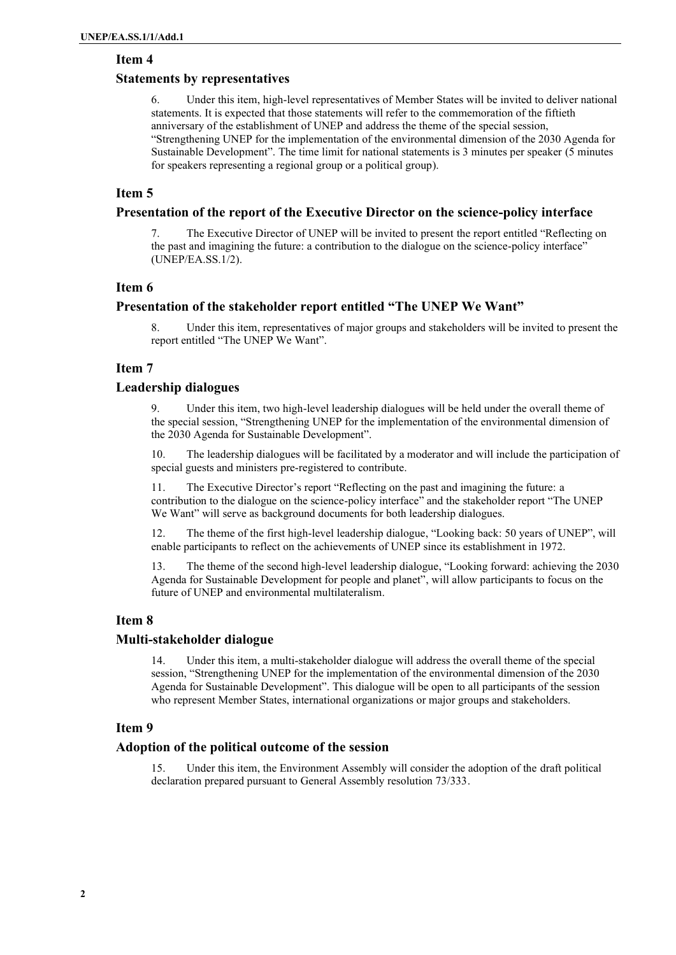#### **Item 4**

#### **Statements by representatives**

6. Under this item, high-level representatives of Member States will be invited to deliver national statements. It is expected that those statements will refer to the commemoration of the fiftieth anniversary of the establishment of UNEP and address the theme of the special session, "Strengthening UNEP for the implementation of the environmental dimension of the 2030 Agenda for Sustainable Development". The time limit for national statements is 3 minutes per speaker (5 minutes for speakers representing a regional group or a political group).

#### **Item 5**

#### **Presentation of the report of the Executive Director on the science-policy interface**

7. The Executive Director of UNEP will be invited to present the report entitled "Reflecting on the past and imagining the future: a contribution to the dialogue on the science-policy interface" (UNEP/EA.SS.1/2).

#### **Item 6**

#### **Presentation of the stakeholder report entitled "The UNEP We Want"**

8. Under this item, representatives of major groups and stakeholders will be invited to present the report entitled "The UNEP We Want".

#### **Item 7**

#### **Leadership dialogues**

9. Under this item, two high-level leadership dialogues will be held under the overall theme of the special session, "Strengthening UNEP for the implementation of the environmental dimension of the 2030 Agenda for Sustainable Development".

10. The leadership dialogues will be facilitated by a moderator and will include the participation of special guests and ministers pre-registered to contribute.

11. The Executive Director's report "Reflecting on the past and imagining the future: a contribution to the dialogue on the science-policy interface" and the stakeholder report "The UNEP We Want" will serve as background documents for both leadership dialogues.

12. The theme of the first high-level leadership dialogue, "Looking back: 50 years of UNEP", will enable participants to reflect on the achievements of UNEP since its establishment in 1972.

13. The theme of the second high-level leadership dialogue, "Looking forward: achieving the 2030 Agenda for Sustainable Development for people and planet", will allow participants to focus on the future of UNEP and environmental multilateralism.

## **Item 8**

#### **Multi-stakeholder dialogue**

14. Under this item, a multi-stakeholder dialogue will address the overall theme of the special session, "Strengthening UNEP for the implementation of the environmental dimension of the 2030 Agenda for Sustainable Development". This dialogue will be open to all participants of the session who represent Member States, international organizations or major groups and stakeholders.

#### **Item 9**

#### **Adoption of the political outcome of the session**

15. Under this item, the Environment Assembly will consider the adoption of the draft political declaration prepared pursuant to General Assembly resolution 73/333.